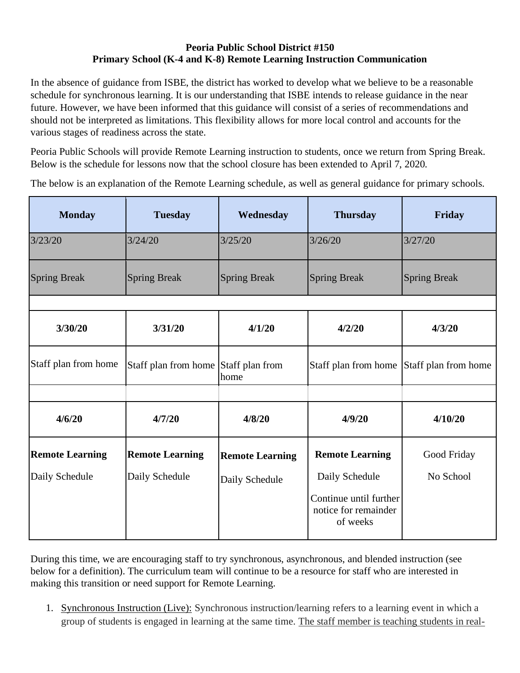#### **Peoria Public School District #150 Primary School (K-4 and K-8) Remote Learning Instruction Communication**

In the absence of guidance from ISBE, the district has worked to develop what we believe to be a reasonable schedule for synchronous learning. It is our understanding that ISBE intends to release guidance in the near future. However, we have been informed that this guidance will consist of a series of recommendations and should not be interpreted as limitations. This flexibility allows for more local control and accounts for the various stages of readiness across the state.

Peoria Public Schools will provide Remote Learning instruction to students, once we return from Spring Break. Below is the schedule for lessons now that the school closure has been extended to April 7, 2020.

The below is an explanation of the Remote Learning schedule, as well as general guidance for primary schools.

| <b>Monday</b>          | <b>Tuesday</b>                       | Wednesday              | <b>Thursday</b>                                            | Friday              |
|------------------------|--------------------------------------|------------------------|------------------------------------------------------------|---------------------|
| 3/23/20                | 3/24/20                              | 3/25/20                | 3/26/20                                                    | 3/27/20             |
| <b>Spring Break</b>    | <b>Spring Break</b>                  | <b>Spring Break</b>    | <b>Spring Break</b>                                        | <b>Spring Break</b> |
|                        |                                      |                        |                                                            |                     |
| 3/30/20                | 3/31/20                              | 4/1/20                 | 4/2/20                                                     | 4/3/20              |
| Staff plan from home   | Staff plan from home Staff plan from | home                   | Staff plan from home Staff plan from home                  |                     |
|                        |                                      |                        |                                                            |                     |
| 4/6/20                 | 4/7/20                               | 4/8/20                 | 4/9/20                                                     | 4/10/20             |
| <b>Remote Learning</b> | <b>Remote Learning</b>               | <b>Remote Learning</b> | <b>Remote Learning</b>                                     | Good Friday         |
| Daily Schedule         | Daily Schedule                       | Daily Schedule         | Daily Schedule                                             | No School           |
|                        |                                      |                        | Continue until further<br>notice for remainder<br>of weeks |                     |

During this time, we are encouraging staff to try synchronous, asynchronous, and blended instruction (see below for a definition). The curriculum team will continue to be a resource for staff who are interested in making this transition or need support for Remote Learning.

1. Synchronous Instruction (Live): Synchronous instruction/learning refers to a learning event in which a group of students is engaged in learning at the same time. The staff member is teaching students in real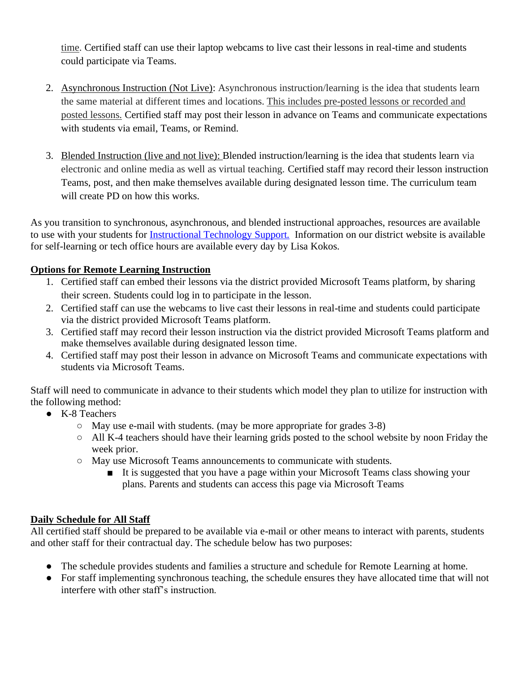time. Certified staff can use their laptop webcams to live cast their lessons in real-time and students could participate via Teams.

- 2. Asynchronous Instruction (Not Live): Asynchronous instruction/learning is the idea that students learn the same material at different times and locations. This includes pre-posted lessons or recorded and posted lessons. Certified staff may post their lesson in advance on Teams and communicate expectations with students via email, Teams, or Remind.
- 3. Blended Instruction (live and not live): Blended instruction/learning is the idea that students learn via electronic and online media as well as virtual teaching. Certified staff may record their lesson instruction Teams, post, and then make themselves available during designated lesson time. The curriculum team will create PD on how this works.

As you transition to synchronous, asynchronous, and blended instructional approaches, resources are available to use with your students for [Instructional Technology Support.](https://www.peoriapublicschools.org/Page/33731) Information on our district website is available for self-learning or tech office hours are available every day by Lisa Kokos.

# **Options for Remote Learning Instruction**

- 1. Certified staff can embed their lessons via the district provided Microsoft Teams platform, by sharing their screen. Students could log in to participate in the lesson.
- 2. Certified staff can use the webcams to live cast their lessons in real-time and students could participate via the district provided Microsoft Teams platform.
- 3. Certified staff may record their lesson instruction via the district provided Microsoft Teams platform and make themselves available during designated lesson time.
- 4. Certified staff may post their lesson in advance on Microsoft Teams and communicate expectations with students via Microsoft Teams.

Staff will need to communicate in advance to their students which model they plan to utilize for instruction with the following method:

- K-8 Teachers
	- May use e-mail with students. (may be more appropriate for grades 3-8)
	- All K-4 teachers should have their learning grids posted to the school website by noon Friday the week prior.
	- May use Microsoft Teams announcements to communicate with students.
		- It is suggested that you have a page within your Microsoft Teams class showing your plans. Parents and students can access this page via Microsoft Teams

### **Daily Schedule for All Staff**

All certified staff should be prepared to be available via e-mail or other means to interact with parents, students and other staff for their contractual day. The schedule below has two purposes:

- The schedule provides students and families a structure and schedule for Remote Learning at home.
- For staff implementing synchronous teaching, the schedule ensures they have allocated time that will not interfere with other staff's instruction.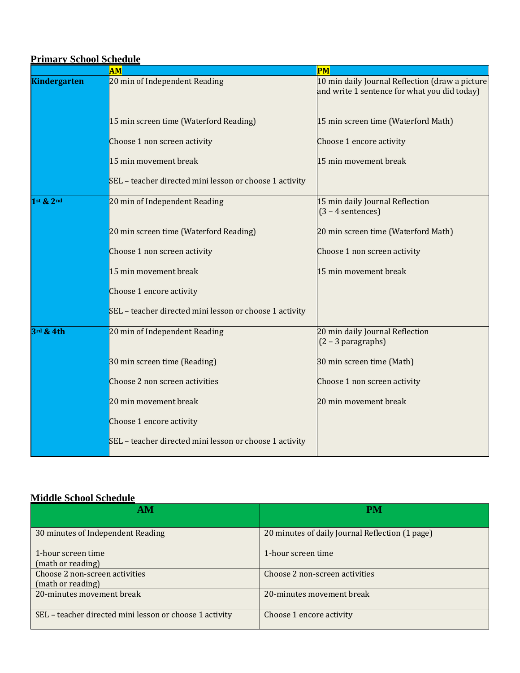| <b>Primary School Schedule</b> |                                                         |                                                                                                 |  |  |  |
|--------------------------------|---------------------------------------------------------|-------------------------------------------------------------------------------------------------|--|--|--|
|                                | AM                                                      | PM                                                                                              |  |  |  |
| <b>Kindergarten</b>            | 20 min of Independent Reading                           | 10 min daily Journal Reflection (draw a picture<br>and write 1 sentence for what you did today) |  |  |  |
|                                | 15 min screen time (Waterford Reading)                  | 15 min screen time (Waterford Math)                                                             |  |  |  |
|                                | Choose 1 non screen activity                            | Choose 1 encore activity                                                                        |  |  |  |
|                                | 15 min movement break                                   | 15 min movement break                                                                           |  |  |  |
|                                | SEL - teacher directed mini lesson or choose 1 activity |                                                                                                 |  |  |  |
| $1$ st $2$ $2$ nd              | 20 min of Independent Reading                           | 15 min daily Journal Reflection<br>$(3 - 4$ sentences)                                          |  |  |  |
|                                | 20 min screen time (Waterford Reading)                  | 20 min screen time (Waterford Math)                                                             |  |  |  |
|                                | Choose 1 non screen activity                            | Choose 1 non screen activity                                                                    |  |  |  |
|                                | 15 min movement break                                   | 15 min movement break                                                                           |  |  |  |
|                                | Choose 1 encore activity                                |                                                                                                 |  |  |  |
|                                | SEL - teacher directed mini lesson or choose 1 activity |                                                                                                 |  |  |  |
| 3rd & 4th                      | 20 min of Independent Reading                           | 20 min daily Journal Reflection<br>$(2 - 3$ paragraphs)                                         |  |  |  |
|                                | 30 min screen time (Reading)                            | 30 min screen time (Math)                                                                       |  |  |  |
|                                | Choose 2 non screen activities                          | Choose 1 non screen activity                                                                    |  |  |  |
|                                | 20 min movement break                                   | 20 min movement break                                                                           |  |  |  |
|                                | Choose 1 encore activity                                |                                                                                                 |  |  |  |
|                                | SEL - teacher directed mini lesson or choose 1 activity |                                                                                                 |  |  |  |

### **Middle School Schedule**

| ivrique school schedule                                 |                                                 |  |  |
|---------------------------------------------------------|-------------------------------------------------|--|--|
| AM                                                      | <b>PM</b>                                       |  |  |
| 30 minutes of Independent Reading                       | 20 minutes of daily Journal Reflection (1 page) |  |  |
| 1-hour screen time<br>(math or reading)                 | 1-hour screen time                              |  |  |
| Choose 2 non-screen activities<br>(math or reading)     | Choose 2 non-screen activities                  |  |  |
| 20-minutes movement break                               | 20-minutes movement break                       |  |  |
| SEL - teacher directed mini lesson or choose 1 activity | Choose 1 encore activity                        |  |  |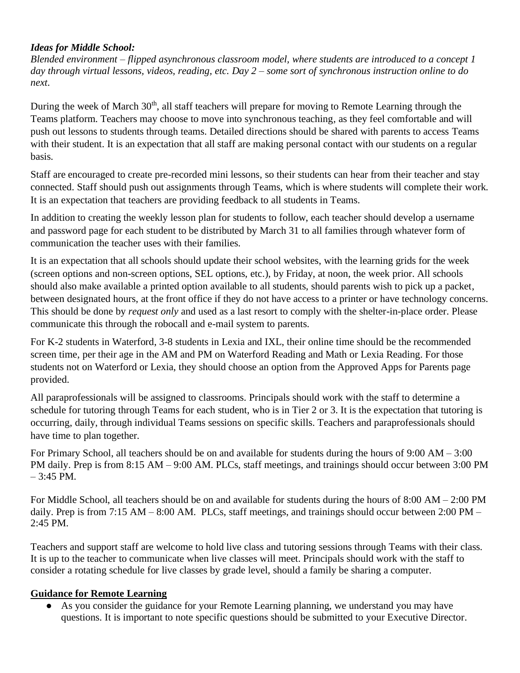### *Ideas for Middle School:*

*Blended environment – flipped asynchronous classroom model, where students are introduced to a concept 1 day through virtual lessons, videos, reading, etc. Day 2 – some sort of synchronous instruction online to do next*.

During the week of March 30<sup>th</sup>, all staff teachers will prepare for moving to Remote Learning through the Teams platform. Teachers may choose to move into synchronous teaching, as they feel comfortable and will push out lessons to students through teams. Detailed directions should be shared with parents to access Teams with their student. It is an expectation that all staff are making personal contact with our students on a regular basis.

Staff are encouraged to create pre-recorded mini lessons, so their students can hear from their teacher and stay connected. Staff should push out assignments through Teams, which is where students will complete their work. It is an expectation that teachers are providing feedback to all students in Teams.

In addition to creating the weekly lesson plan for students to follow, each teacher should develop a username and password page for each student to be distributed by March 31 to all families through whatever form of communication the teacher uses with their families.

It is an expectation that all schools should update their school websites, with the learning grids for the week (screen options and non-screen options, SEL options, etc.), by Friday, at noon, the week prior. All schools should also make available a printed option available to all students, should parents wish to pick up a packet, between designated hours, at the front office if they do not have access to a printer or have technology concerns. This should be done by *request only* and used as a last resort to comply with the shelter-in-place order. Please communicate this through the robocall and e-mail system to parents.

For K-2 students in Waterford, 3-8 students in Lexia and IXL, their online time should be the recommended screen time, per their age in the AM and PM on Waterford Reading and Math or Lexia Reading. For those students not on Waterford or Lexia, they should choose an option from the Approved Apps for Parents page provided.

All paraprofessionals will be assigned to classrooms. Principals should work with the staff to determine a schedule for tutoring through Teams for each student, who is in Tier 2 or 3. It is the expectation that tutoring is occurring, daily, through individual Teams sessions on specific skills. Teachers and paraprofessionals should have time to plan together.

For Primary School, all teachers should be on and available for students during the hours of 9:00 AM – 3:00 PM daily. Prep is from 8:15 AM – 9:00 AM. PLCs, staff meetings, and trainings should occur between 3:00 PM  $-3:45$  PM.

For Middle School, all teachers should be on and available for students during the hours of 8:00 AM – 2:00 PM daily. Prep is from 7:15 AM – 8:00 AM. PLCs, staff meetings, and trainings should occur between 2:00 PM – 2:45 PM.

Teachers and support staff are welcome to hold live class and tutoring sessions through Teams with their class. It is up to the teacher to communicate when live classes will meet. Principals should work with the staff to consider a rotating schedule for live classes by grade level, should a family be sharing a computer.

# **Guidance for Remote Learning**

● As you consider the guidance for your Remote Learning planning, we understand you may have questions. It is important to note specific questions should be submitted to your Executive Director.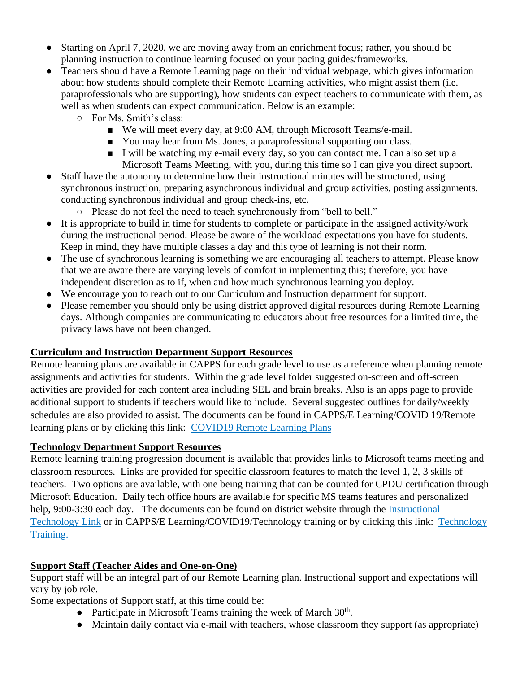- Starting on April 7, 2020, we are moving away from an enrichment focus; rather, you should be planning instruction to continue learning focused on your pacing guides/frameworks.
- Teachers should have a Remote Learning page on their individual webpage, which gives information about how students should complete their Remote Learning activities, who might assist them (i.e. paraprofessionals who are supporting), how students can expect teachers to communicate with them, as well as when students can expect communication. Below is an example:
	- For Ms. Smith's class:
		- We will meet every day, at 9:00 AM, through Microsoft Teams/e-mail.
		- You may hear from Ms. Jones, a paraprofessional supporting our class.
		- I will be watching my e-mail every day, so you can contact me. I can also set up a Microsoft Teams Meeting, with you, during this time so I can give you direct support.
- Staff have the autonomy to determine how their instructional minutes will be structured, using synchronous instruction, preparing asynchronous individual and group activities, posting assignments, conducting synchronous individual and group check-ins, etc.
	- Please do not feel the need to teach synchronously from "bell to bell."
- It is appropriate to build in time for students to complete or participate in the assigned activity/work during the instructional period. Please be aware of the workload expectations you have for students. Keep in mind, they have multiple classes a day and this type of learning is not their norm.
- The use of synchronous learning is something we are encouraging all teachers to attempt. Please know that we are aware there are varying levels of comfort in implementing this; therefore, you have independent discretion as to if, when and how much synchronous learning you deploy.
- We encourage you to reach out to our Curriculum and Instruction department for support.
- Please remember you should only be using district approved digital resources during Remote Learning days. Although companies are communicating to educators about free resources for a limited time, the privacy laws have not been changed.

# **Curriculum and Instruction Department Support Resources**

Remote learning plans are available in CAPPS for each grade level to use as a reference when planning remote assignments and activities for students. Within the grade level folder suggested on-screen and off-screen activities are provided for each content area including SEL and brain breaks. Also is an apps page to provide additional support to students if teachers would like to include. Several suggested outlines for daily/weekly schedules are also provided to assist. The documents can be found in CAPPS/E Learning/COVID 19/Remote learning plans or by clicking this link: [COVID19 Remote Learning Plans](https://psd150-my.sharepoint.com/:f:/r/personal/capps_psd150_org/Documents/CAPPS/eLearning%20Resources/2020%20COVID-19?csf=1&e=g7gXPl)

### **Technology Department Support Resources**

Remote learning training progression document is available that provides links to Microsoft teams meeting and classroom resources. Links are provided for specific classroom features to match the level 1, 2, 3 skills of teachers. Two options are available, with one being training that can be counted for CPDU certification through Microsoft Education. Daily tech office hours are available for specific MS teams features and personalized help, 9:00-3:30 each day. The documents can be found on district website through the Instructional [Technology Link](https://www.peoriapublicschools.org/Page/33731) or in CAPPS/E Learning/COVID19/Technology training or by clicking this link: [Technology](https://psd150-my.sharepoint.com/:f:/r/personal/capps_psd150_org/Documents/CAPPS/eLearning%20Resources/2020%20COVID-19/Technology%20Training?csf=1&e=brp2GI)  [Training.](https://psd150-my.sharepoint.com/:f:/r/personal/capps_psd150_org/Documents/CAPPS/eLearning%20Resources/2020%20COVID-19/Technology%20Training?csf=1&e=brp2GI)

# **Support Staff (Teacher Aides and One-on-One)**

Support staff will be an integral part of our Remote Learning plan. Instructional support and expectations will vary by job role.

Some expectations of Support staff, at this time could be:

- Participate in Microsoft Teams training the week of March  $30<sup>th</sup>$ .
- Maintain daily contact via e-mail with teachers, whose classroom they support (as appropriate)